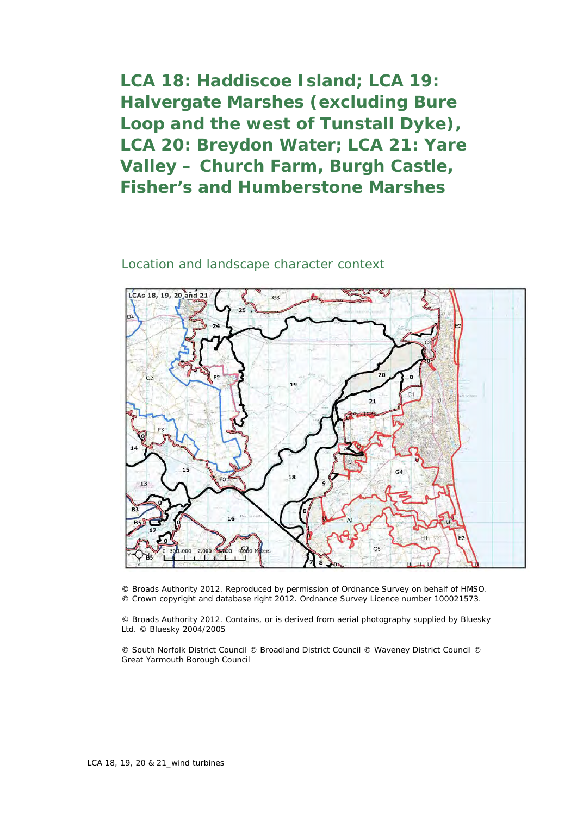**LCA 18: Haddiscoe Island; LCA 19: Halvergate Marshes (excluding Bure Loop and the west of Tunstall Dyke), LCA 20: Breydon Water; LCA 21: Yare Valley – Church Farm, Burgh Castle, Fisher's and Humberstone Marshes**

## Location and landscape character context



© Broads Authority 2012. Reproduced by permission of Ordnance Survey on behalf of HMSO. © Crown copyright and database right 2012. Ordnance Survey Licence number 100021573.

© Broads Authority 2012. Contains, or is derived from aerial photography supplied by Bluesky Ltd. © Bluesky 2004/2005

© South Norfolk District Council © Broadland District Council © Waveney District Council © Great Yarmouth Borough Council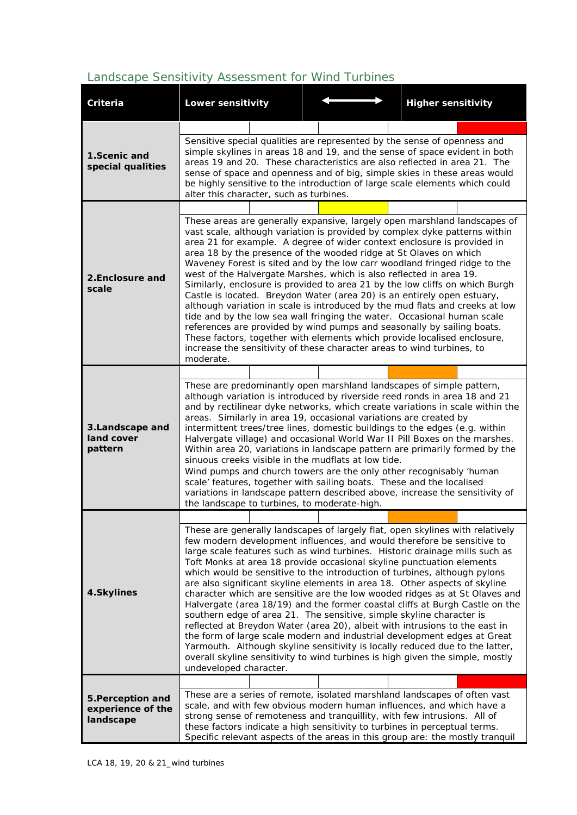## *Landscape Sensitivity Assessment for Wind Turbines*

| Criteria                                            | <b>Lower sensitivity</b>                                                                                                                                                                                                                                                                                                                                                                                                                                                                                                                                                                                                                                                                                                                                                                                                                                                                                                                                                                                                                                                |  |  |  |  | <b>Higher sensitivity</b> |  |
|-----------------------------------------------------|-------------------------------------------------------------------------------------------------------------------------------------------------------------------------------------------------------------------------------------------------------------------------------------------------------------------------------------------------------------------------------------------------------------------------------------------------------------------------------------------------------------------------------------------------------------------------------------------------------------------------------------------------------------------------------------------------------------------------------------------------------------------------------------------------------------------------------------------------------------------------------------------------------------------------------------------------------------------------------------------------------------------------------------------------------------------------|--|--|--|--|---------------------------|--|
|                                                     |                                                                                                                                                                                                                                                                                                                                                                                                                                                                                                                                                                                                                                                                                                                                                                                                                                                                                                                                                                                                                                                                         |  |  |  |  |                           |  |
| 1.Scenic and<br>special qualities                   | Sensitive special qualities are represented by the sense of openness and<br>simple skylines in areas 18 and 19, and the sense of space evident in both<br>areas 19 and 20. These characteristics are also reflected in area 21. The<br>sense of space and openness and of big, simple skies in these areas would<br>be highly sensitive to the introduction of large scale elements which could<br>alter this character, such as turbines.                                                                                                                                                                                                                                                                                                                                                                                                                                                                                                                                                                                                                              |  |  |  |  |                           |  |
|                                                     |                                                                                                                                                                                                                                                                                                                                                                                                                                                                                                                                                                                                                                                                                                                                                                                                                                                                                                                                                                                                                                                                         |  |  |  |  |                           |  |
| 2. Enclosure and<br>scale                           | These areas are generally expansive, largely open marshland landscapes of<br>vast scale, although variation is provided by complex dyke patterns within<br>area 21 for example. A degree of wider context enclosure is provided in<br>area 18 by the presence of the wooded ridge at St Olaves on which<br>Waveney Forest is sited and by the low carr woodland fringed ridge to the<br>west of the Halvergate Marshes, which is also reflected in area 19.<br>Similarly, enclosure is provided to area 21 by the low cliffs on which Burgh<br>Castle is located. Breydon Water (area 20) is an entirely open estuary,<br>although variation in scale is introduced by the mud flats and creeks at low<br>tide and by the low sea wall fringing the water. Occasional human scale<br>references are provided by wind pumps and seasonally by sailing boats.<br>These factors, together with elements which provide localised enclosure,<br>increase the sensitivity of these character areas to wind turbines, to<br>moderate.                                          |  |  |  |  |                           |  |
|                                                     |                                                                                                                                                                                                                                                                                                                                                                                                                                                                                                                                                                                                                                                                                                                                                                                                                                                                                                                                                                                                                                                                         |  |  |  |  |                           |  |
| 3. Landscape and<br>land cover<br>pattern           | These are predominantly open marshland landscapes of simple pattern,<br>although variation is introduced by riverside reed ronds in area 18 and 21<br>and by rectilinear dyke networks, which create variations in scale within the<br>areas. Similarly in area 19, occasional variations are created by<br>intermittent trees/tree lines, domestic buildings to the edges (e.g. within<br>Halvergate village) and occasional World War II Pill Boxes on the marshes.<br>Within area 20, variations in landscape pattern are primarily formed by the<br>sinuous creeks visible in the mudflats at low tide.<br>Wind pumps and church towers are the only other recognisably 'human<br>scale' features, together with sailing boats. These and the localised<br>variations in landscape pattern described above, increase the sensitivity of<br>the landscape to turbines, to moderate-high.                                                                                                                                                                             |  |  |  |  |                           |  |
|                                                     |                                                                                                                                                                                                                                                                                                                                                                                                                                                                                                                                                                                                                                                                                                                                                                                                                                                                                                                                                                                                                                                                         |  |  |  |  |                           |  |
| 4.Skylines                                          | These are generally landscapes of largely flat, open skylines with relatively<br>few modern development influences, and would therefore be sensitive to<br>large scale features such as wind turbines. Historic drainage mills such as<br>Toft Monks at area 18 provide occasional skyline punctuation elements<br>which would be sensitive to the introduction of turbines, although pylons<br>are also significant skyline elements in area 18. Other aspects of skyline<br>character which are sensitive are the low wooded ridges as at St Olaves and<br>Halvergate (area 18/19) and the former coastal cliffs at Burgh Castle on the<br>southern edge of area 21. The sensitive, simple skyline character is<br>reflected at Breydon Water (area 20), albeit with intrusions to the east in<br>the form of large scale modern and industrial development edges at Great<br>Yarmouth. Although skyline sensitivity is locally reduced due to the latter,<br>overall skyline sensitivity to wind turbines is high given the simple, mostly<br>undeveloped character. |  |  |  |  |                           |  |
|                                                     |                                                                                                                                                                                                                                                                                                                                                                                                                                                                                                                                                                                                                                                                                                                                                                                                                                                                                                                                                                                                                                                                         |  |  |  |  |                           |  |
| 5. Perception and<br>experience of the<br>landscape | These are a series of remote, isolated marshland landscapes of often vast<br>scale, and with few obvious modern human influences, and which have a<br>strong sense of remoteness and tranquillity, with few intrusions. All of<br>these factors indicate a high sensitivity to turbines in perceptual terms.<br>Specific relevant aspects of the areas in this group are: the mostly tranquil                                                                                                                                                                                                                                                                                                                                                                                                                                                                                                                                                                                                                                                                           |  |  |  |  |                           |  |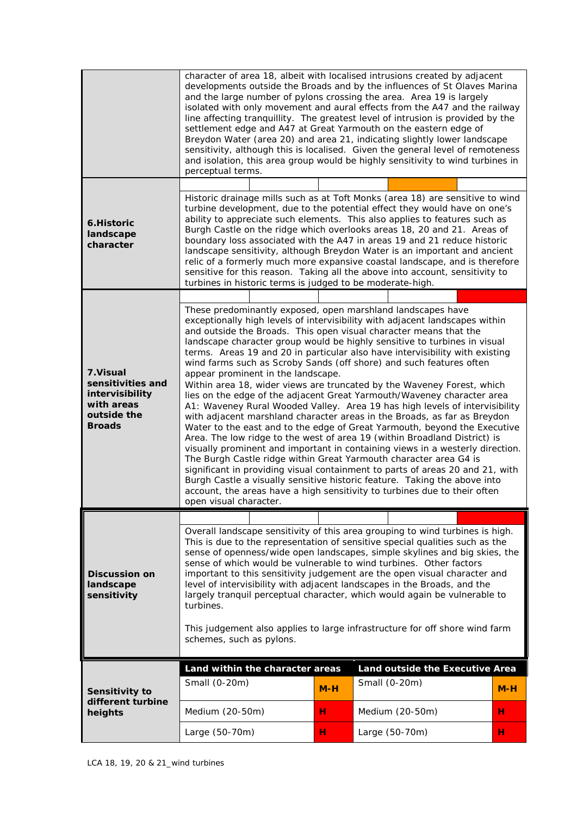|                                                                                                | character of area 18, albeit with localised intrusions created by adjacent<br>developments outside the Broads and by the influences of St Olaves Marina<br>and the large number of pylons crossing the area. Area 19 is largely<br>isolated with only movement and aural effects from the A47 and the railway<br>line affecting tranquillity. The greatest level of intrusion is provided by the<br>settlement edge and A47 at Great Yarmouth on the eastern edge of<br>Breydon Water (area 20) and area 21, indicating slightly lower landscape<br>sensitivity, although this is localised. Given the general level of remoteness<br>and isolation, this area group would be highly sensitivity to wind turbines in<br>perceptual terms.                                                                                                                                                                                                                                                                                                                                                                                                                                                                                                                                                                                                                                                      |        |                                                  |        |  |
|------------------------------------------------------------------------------------------------|------------------------------------------------------------------------------------------------------------------------------------------------------------------------------------------------------------------------------------------------------------------------------------------------------------------------------------------------------------------------------------------------------------------------------------------------------------------------------------------------------------------------------------------------------------------------------------------------------------------------------------------------------------------------------------------------------------------------------------------------------------------------------------------------------------------------------------------------------------------------------------------------------------------------------------------------------------------------------------------------------------------------------------------------------------------------------------------------------------------------------------------------------------------------------------------------------------------------------------------------------------------------------------------------------------------------------------------------------------------------------------------------|--------|--------------------------------------------------|--------|--|
| 6.Historic<br>landscape<br>character                                                           | Historic drainage mills such as at Toft Monks (area 18) are sensitive to wind<br>turbine development, due to the potential effect they would have on one's<br>ability to appreciate such elements. This also applies to features such as<br>Burgh Castle on the ridge which overlooks areas 18, 20 and 21. Areas of<br>boundary loss associated with the A47 in areas 19 and 21 reduce historic<br>landscape sensitivity, although Breydon Water is an important and ancient<br>relic of a formerly much more expansive coastal landscape, and is therefore<br>sensitive for this reason. Taking all the above into account, sensitivity to<br>turbines in historic terms is judged to be moderate-high.                                                                                                                                                                                                                                                                                                                                                                                                                                                                                                                                                                                                                                                                                       |        |                                                  |        |  |
| 7.Visual<br>sensitivities and<br>intervisibility<br>with areas<br>outside the<br><b>Broads</b> | These predominantly exposed, open marshland landscapes have<br>exceptionally high levels of intervisibility with adjacent landscapes within<br>and outside the Broads. This open visual character means that the<br>landscape character group would be highly sensitive to turbines in visual<br>terms. Areas 19 and 20 in particular also have intervisibility with existing<br>wind farms such as Scroby Sands (off shore) and such features often<br>appear prominent in the landscape.<br>Within area 18, wider views are truncated by the Waveney Forest, which<br>lies on the edge of the adjacent Great Yarmouth/Waveney character area<br>A1: Waveney Rural Wooded Valley. Area 19 has high levels of intervisibility<br>with adjacent marshland character areas in the Broads, as far as Breydon<br>Water to the east and to the edge of Great Yarmouth, beyond the Executive<br>Area. The low ridge to the west of area 19 (within Broadland District) is<br>visually prominent and important in containing views in a westerly direction.<br>The Burgh Castle ridge within Great Yarmouth character area G4 is<br>significant in providing visual containment to parts of areas 20 and 21, with<br>Burgh Castle a visually sensitive historic feature. Taking the above into<br>account, the areas have a high sensitivity to turbines due to their often<br>open visual character. |        |                                                  |        |  |
| <b>Discussion on</b><br>landscape<br>sensitivity                                               | Overall landscape sensitivity of this area grouping to wind turbines is high.<br>This is due to the representation of sensitive special qualities such as the<br>sense of openness/wide open landscapes, simple skylines and big skies, the<br>sense of which would be vulnerable to wind turbines. Other factors<br>important to this sensitivity judgement are the open visual character and<br>level of intervisibility with adjacent landscapes in the Broads, and the<br>largely tranquil perceptual character, which would again be vulnerable to<br>turbines.<br>This judgement also applies to large infrastructure for off shore wind farm<br>schemes, such as pylons.                                                                                                                                                                                                                                                                                                                                                                                                                                                                                                                                                                                                                                                                                                                |        |                                                  |        |  |
| Sensitivity to<br>different turbine<br>heights                                                 | Land within the character areas<br>Small (0-20m)                                                                                                                                                                                                                                                                                                                                                                                                                                                                                                                                                                                                                                                                                                                                                                                                                                                                                                                                                                                                                                                                                                                                                                                                                                                                                                                                               | $M-H$  | Land outside the Executive Area<br>Small (0-20m) | $M-H$  |  |
|                                                                                                | Medium (20-50m)<br>Large (50-70m)                                                                                                                                                                                                                                                                                                                                                                                                                                                                                                                                                                                                                                                                                                                                                                                                                                                                                                                                                                                                                                                                                                                                                                                                                                                                                                                                                              | н<br>н | Medium (20-50m)<br>Large (50-70m)                | н<br>н |  |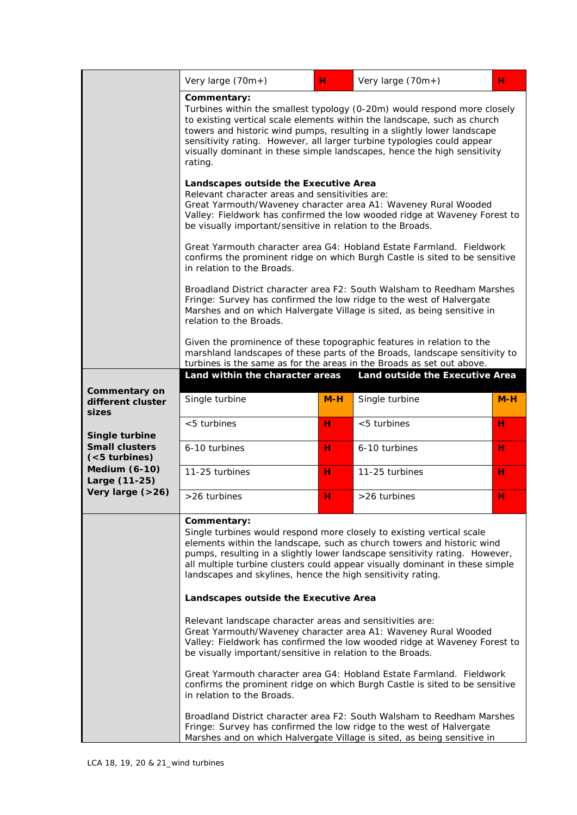|                                                  | Very large (70m+)                                                                                                                                                                                                                                                                                                                                                                                                                                                                                                                                                                                                                                                                                                                                                                                                                                                                                                                                                              | н.                                                                                                                                                                                                                        | Very large $(70m+)$             | н   |  |  |
|--------------------------------------------------|--------------------------------------------------------------------------------------------------------------------------------------------------------------------------------------------------------------------------------------------------------------------------------------------------------------------------------------------------------------------------------------------------------------------------------------------------------------------------------------------------------------------------------------------------------------------------------------------------------------------------------------------------------------------------------------------------------------------------------------------------------------------------------------------------------------------------------------------------------------------------------------------------------------------------------------------------------------------------------|---------------------------------------------------------------------------------------------------------------------------------------------------------------------------------------------------------------------------|---------------------------------|-----|--|--|
|                                                  | Commentary:<br>Turbines within the smallest typology (0-20m) would respond more closely<br>to existing vertical scale elements within the landscape, such as church<br>towers and historic wind pumps, resulting in a slightly lower landscape<br>sensitivity rating. However, all larger turbine typologies could appear<br>visually dominant in these simple landscapes, hence the high sensitivity<br>rating.                                                                                                                                                                                                                                                                                                                                                                                                                                                                                                                                                               |                                                                                                                                                                                                                           |                                 |     |  |  |
|                                                  | Landscapes outside the Executive Area<br>Relevant character areas and sensitivities are:<br>Great Yarmouth/Waveney character area A1: Waveney Rural Wooded<br>Valley: Fieldwork has confirmed the low wooded ridge at Waveney Forest to<br>be visually important/sensitive in relation to the Broads.                                                                                                                                                                                                                                                                                                                                                                                                                                                                                                                                                                                                                                                                          |                                                                                                                                                                                                                           |                                 |     |  |  |
|                                                  | Great Yarmouth character area G4: Hobland Estate Farmland. Fieldwork<br>confirms the prominent ridge on which Burgh Castle is sited to be sensitive<br>in relation to the Broads.                                                                                                                                                                                                                                                                                                                                                                                                                                                                                                                                                                                                                                                                                                                                                                                              |                                                                                                                                                                                                                           |                                 |     |  |  |
|                                                  | relation to the Broads.                                                                                                                                                                                                                                                                                                                                                                                                                                                                                                                                                                                                                                                                                                                                                                                                                                                                                                                                                        | Broadland District character area F2: South Walsham to Reedham Marshes<br>Fringe: Survey has confirmed the low ridge to the west of Halvergate<br>Marshes and on which Halvergate Village is sited, as being sensitive in |                                 |     |  |  |
|                                                  | Given the prominence of these topographic features in relation to the<br>marshland landscapes of these parts of the Broads, landscape sensitivity to<br>turbines is the same as for the areas in the Broads as set out above.                                                                                                                                                                                                                                                                                                                                                                                                                                                                                                                                                                                                                                                                                                                                                  |                                                                                                                                                                                                                           |                                 |     |  |  |
|                                                  | Land within the character areas                                                                                                                                                                                                                                                                                                                                                                                                                                                                                                                                                                                                                                                                                                                                                                                                                                                                                                                                                |                                                                                                                                                                                                                           | Land outside the Executive Area |     |  |  |
| Commentary on<br>different cluster<br>sizes      | Single turbine                                                                                                                                                                                                                                                                                                                                                                                                                                                                                                                                                                                                                                                                                                                                                                                                                                                                                                                                                                 | $M-H$                                                                                                                                                                                                                     | Single turbine                  | M-H |  |  |
| Single turbine                                   | <5 turbines                                                                                                                                                                                                                                                                                                                                                                                                                                                                                                                                                                                                                                                                                                                                                                                                                                                                                                                                                                    | н                                                                                                                                                                                                                         | $<$ 5 turbines                  | н   |  |  |
| <b>Small clusters</b><br>( <sub>5</sub> turbins) | 6-10 turbines                                                                                                                                                                                                                                                                                                                                                                                                                                                                                                                                                                                                                                                                                                                                                                                                                                                                                                                                                                  | н                                                                                                                                                                                                                         | 6-10 turbines                   | н   |  |  |
| <b>Medium (6-10)</b><br>Large (11-25)            | 11-25 turbines                                                                                                                                                                                                                                                                                                                                                                                                                                                                                                                                                                                                                                                                                                                                                                                                                                                                                                                                                                 | н                                                                                                                                                                                                                         | 11-25 turbines                  | н   |  |  |
| Very large (>26)                                 | >26 turbines                                                                                                                                                                                                                                                                                                                                                                                                                                                                                                                                                                                                                                                                                                                                                                                                                                                                                                                                                                   | н                                                                                                                                                                                                                         | >26 turbines                    | н   |  |  |
|                                                  | Commentary:<br>Single turbines would respond more closely to existing vertical scale<br>elements within the landscape, such as church towers and historic wind<br>pumps, resulting in a slightly lower landscape sensitivity rating. However,<br>all multiple turbine clusters could appear visually dominant in these simple<br>landscapes and skylines, hence the high sensitivity rating.<br>Landscapes outside the Executive Area<br>Relevant landscape character areas and sensitivities are:<br>Great Yarmouth/Waveney character area A1: Waveney Rural Wooded<br>Valley: Fieldwork has confirmed the low wooded ridge at Waveney Forest to<br>be visually important/sensitive in relation to the Broads.<br>Great Yarmouth character area G4: Hobland Estate Farmland. Fieldwork<br>confirms the prominent ridge on which Burgh Castle is sited to be sensitive<br>in relation to the Broads.<br>Broadland District character area F2: South Walsham to Reedham Marshes |                                                                                                                                                                                                                           |                                 |     |  |  |
|                                                  | Fringe: Survey has confirmed the low ridge to the west of Halvergate<br>Marshes and on which Halvergate Village is sited, as being sensitive in                                                                                                                                                                                                                                                                                                                                                                                                                                                                                                                                                                                                                                                                                                                                                                                                                                |                                                                                                                                                                                                                           |                                 |     |  |  |